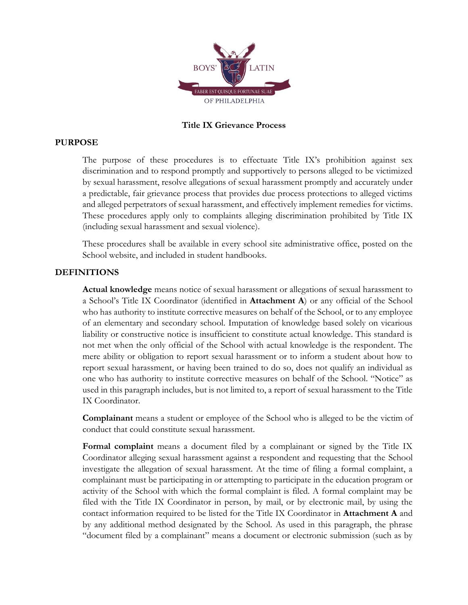

# **Title IX Grievance Process**

## **PURPOSE**

The purpose of these procedures is to effectuate Title IX's prohibition against sex discrimination and to respond promptly and supportively to persons alleged to be victimized by sexual harassment, resolve allegations of sexual harassment promptly and accurately under a predictable, fair grievance process that provides due process protections to alleged victims and alleged perpetrators of sexual harassment, and effectively implement remedies for victims. These procedures apply only to complaints alleging discrimination prohibited by Title IX (including sexual harassment and sexual violence).

These procedures shall be available in every school site administrative office, posted on the School website, and included in student handbooks.

## **DEFINITIONS**

**Actual knowledge** means notice of sexual harassment or allegations of sexual harassment to a School's Title IX Coordinator (identified in **Attachment A**) or any official of the School who has authority to institute corrective measures on behalf of the School, or to any employee of an elementary and secondary school. Imputation of knowledge based solely on vicarious liability or constructive notice is insufficient to constitute actual knowledge. This standard is not met when the only official of the School with actual knowledge is the respondent. The mere ability or obligation to report sexual harassment or to inform a student about how to report sexual harassment, or having been trained to do so, does not qualify an individual as one who has authority to institute corrective measures on behalf of the School. "Notice" as used in this paragraph includes, but is not limited to, a report of sexual harassment to the Title IX Coordinator.

**Complainant** means a student or employee of the School who is alleged to be the victim of conduct that could constitute sexual harassment.

**Formal complaint** means a document filed by a complainant or signed by the Title IX Coordinator alleging sexual harassment against a respondent and requesting that the School investigate the allegation of sexual harassment. At the time of filing a formal complaint, a complainant must be participating in or attempting to participate in the education program or activity of the School with which the formal complaint is filed. A formal complaint may be filed with the Title IX Coordinator in person, by mail, or by electronic mail, by using the contact information required to be listed for the Title IX Coordinator in **Attachment A** and by any additional method designated by the School. As used in this paragraph, the phrase "document filed by a complainant" means a document or electronic submission (such as by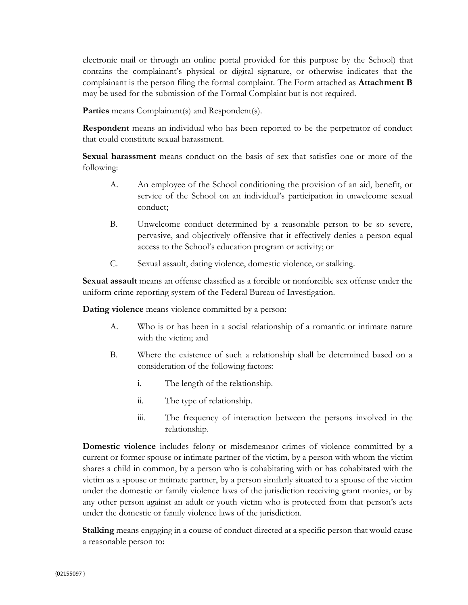electronic mail or through an online portal provided for this purpose by the School) that contains the complainant's physical or digital signature, or otherwise indicates that the complainant is the person filing the formal complaint. The Form attached as **Attachment B** may be used for the submission of the Formal Complaint but is not required.

Parties means Complainant(s) and Respondent(s).

**Respondent** means an individual who has been reported to be the perpetrator of conduct that could constitute sexual harassment.

**Sexual harassment** means conduct on the basis of sex that satisfies one or more of the following:

- A. An employee of the School conditioning the provision of an aid, benefit, or service of the School on an individual's participation in unwelcome sexual conduct;
- B. Unwelcome conduct determined by a reasonable person to be so severe, pervasive, and objectively offensive that it effectively denies a person equal access to the School's education program or activity; or
- C. Sexual assault, dating violence, domestic violence, or stalking.

**Sexual assault** means an offense classified as a forcible or nonforcible sex offense under the uniform crime reporting system of the Federal Bureau of Investigation.

**Dating violence** means violence committed by a person:

- A. Who is or has been in a social relationship of a romantic or intimate nature with the victim; and
- B. Where the existence of such a relationship shall be determined based on a consideration of the following factors:
	- i. The length of the relationship.
	- ii. The type of relationship.
	- iii. The frequency of interaction between the persons involved in the relationship.

**Domestic violence** includes felony or misdemeanor crimes of violence committed by a current or former spouse or intimate partner of the victim, by a person with whom the victim shares a child in common, by a person who is cohabitating with or has cohabitated with the victim as a spouse or intimate partner, by a person similarly situated to a spouse of the victim under the domestic or family violence laws of the jurisdiction receiving grant monies, or by any other person against an adult or youth victim who is protected from that person's acts under the domestic or family violence laws of the jurisdiction.

**Stalking** means engaging in a course of conduct directed at a specific person that would cause a reasonable person to: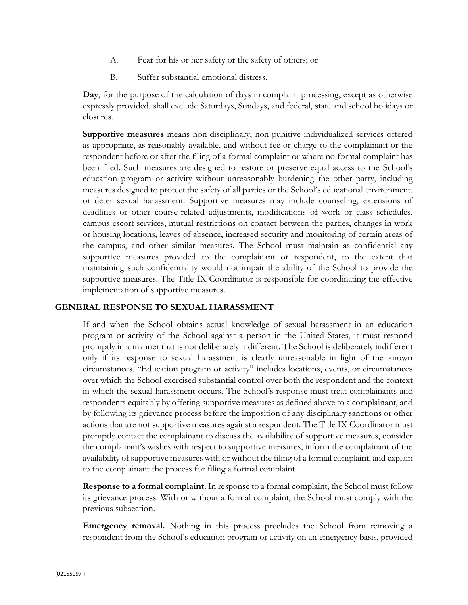- A. Fear for his or her safety or the safety of others; or
- B. Suffer substantial emotional distress.

**Day**, for the purpose of the calculation of days in complaint processing, except as otherwise expressly provided, shall exclude Saturdays, Sundays, and federal, state and school holidays or closures.

**Supportive measures** means non-disciplinary, non-punitive individualized services offered as appropriate, as reasonably available, and without fee or charge to the complainant or the respondent before or after the filing of a formal complaint or where no formal complaint has been filed. Such measures are designed to restore or preserve equal access to the School's education program or activity without unreasonably burdening the other party, including measures designed to protect the safety of all parties or the School's educational environment, or deter sexual harassment. Supportive measures may include counseling, extensions of deadlines or other course-related adjustments, modifications of work or class schedules, campus escort services, mutual restrictions on contact between the parties, changes in work or housing locations, leaves of absence, increased security and monitoring of certain areas of the campus, and other similar measures. The School must maintain as confidential any supportive measures provided to the complainant or respondent, to the extent that maintaining such confidentiality would not impair the ability of the School to provide the supportive measures. The Title IX Coordinator is responsible for coordinating the effective implementation of supportive measures.

# **GENERAL RESPONSE TO SEXUAL HARASSMENT**

If and when the School obtains actual knowledge of sexual harassment in an education program or activity of the School against a person in the United States, it must respond promptly in a manner that is not deliberately indifferent. The School is deliberately indifferent only if its response to sexual harassment is clearly unreasonable in light of the known circumstances. "Education program or activity" includes locations, events, or circumstances over which the School exercised substantial control over both the respondent and the context in which the sexual harassment occurs. The School's response must treat complainants and respondents equitably by offering supportive measures as defined above to a complainant, and by following its grievance process before the imposition of any disciplinary sanctions or other actions that are not supportive measures against a respondent. The Title IX Coordinator must promptly contact the complainant to discuss the availability of supportive measures, consider the complainant's wishes with respect to supportive measures, inform the complainant of the availability of supportive measures with or without the filing of a formal complaint, and explain to the complainant the process for filing a formal complaint.

**Response to a formal complaint.** In response to a formal complaint, the School must follow its grievance process. With or without a formal complaint, the School must comply with the previous subsection.

**Emergency removal.** Nothing in this process precludes the School from removing a respondent from the School's education program or activity on an emergency basis, provided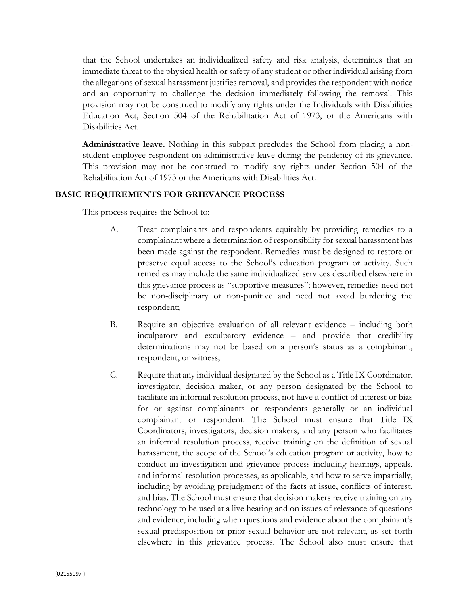that the School undertakes an individualized safety and risk analysis, determines that an immediate threat to the physical health or safety of any student or other individual arising from the allegations of sexual harassment justifies removal, and provides the respondent with notice and an opportunity to challenge the decision immediately following the removal. This provision may not be construed to modify any rights under the Individuals with Disabilities Education Act, Section 504 of the Rehabilitation Act of 1973, or the Americans with Disabilities Act.

**Administrative leave.** Nothing in this subpart precludes the School from placing a nonstudent employee respondent on administrative leave during the pendency of its grievance. This provision may not be construed to modify any rights under Section 504 of the Rehabilitation Act of 1973 or the Americans with Disabilities Act.

## **BASIC REQUIREMENTS FOR GRIEVANCE PROCESS**

This process requires the School to:

- A. Treat complainants and respondents equitably by providing remedies to a complainant where a determination of responsibility for sexual harassment has been made against the respondent. Remedies must be designed to restore or preserve equal access to the School's education program or activity. Such remedies may include the same individualized services described elsewhere in this grievance process as "supportive measures"; however, remedies need not be non-disciplinary or non-punitive and need not avoid burdening the respondent;
- B. Require an objective evaluation of all relevant evidence including both inculpatory and exculpatory evidence – and provide that credibility determinations may not be based on a person's status as a complainant, respondent, or witness;
- C. Require that any individual designated by the School as a Title IX Coordinator, investigator, decision maker, or any person designated by the School to facilitate an informal resolution process, not have a conflict of interest or bias for or against complainants or respondents generally or an individual complainant or respondent. The School must ensure that Title IX Coordinators, investigators, decision makers, and any person who facilitates an informal resolution process, receive training on the definition of sexual harassment, the scope of the School's education program or activity, how to conduct an investigation and grievance process including hearings, appeals, and informal resolution processes, as applicable, and how to serve impartially, including by avoiding prejudgment of the facts at issue, conflicts of interest, and bias. The School must ensure that decision makers receive training on any technology to be used at a live hearing and on issues of relevance of questions and evidence, including when questions and evidence about the complainant's sexual predisposition or prior sexual behavior are not relevant, as set forth elsewhere in this grievance process. The School also must ensure that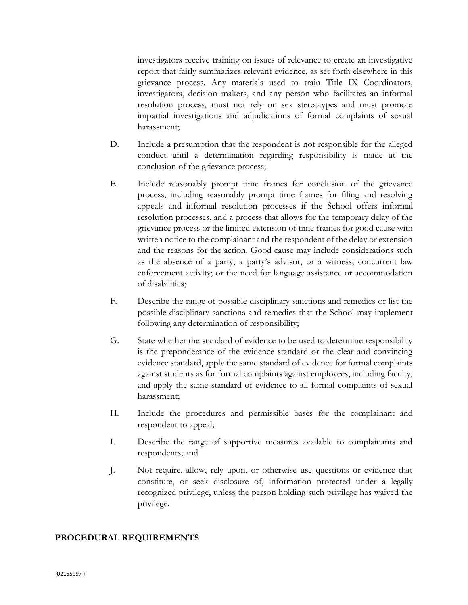investigators receive training on issues of relevance to create an investigative report that fairly summarizes relevant evidence, as set forth elsewhere in this grievance process. Any materials used to train Title IX Coordinators, investigators, decision makers, and any person who facilitates an informal resolution process, must not rely on sex stereotypes and must promote impartial investigations and adjudications of formal complaints of sexual harassment;

- D. Include a presumption that the respondent is not responsible for the alleged conduct until a determination regarding responsibility is made at the conclusion of the grievance process;
- E. Include reasonably prompt time frames for conclusion of the grievance process, including reasonably prompt time frames for filing and resolving appeals and informal resolution processes if the School offers informal resolution processes, and a process that allows for the temporary delay of the grievance process or the limited extension of time frames for good cause with written notice to the complainant and the respondent of the delay or extension and the reasons for the action. Good cause may include considerations such as the absence of a party, a party's advisor, or a witness; concurrent law enforcement activity; or the need for language assistance or accommodation of disabilities;
- F. Describe the range of possible disciplinary sanctions and remedies or list the possible disciplinary sanctions and remedies that the School may implement following any determination of responsibility;
- G. State whether the standard of evidence to be used to determine responsibility is the preponderance of the evidence standard or the clear and convincing evidence standard, apply the same standard of evidence for formal complaints against students as for formal complaints against employees, including faculty, and apply the same standard of evidence to all formal complaints of sexual harassment;
- H. Include the procedures and permissible bases for the complainant and respondent to appeal;
- I. Describe the range of supportive measures available to complainants and respondents; and
- J. Not require, allow, rely upon, or otherwise use questions or evidence that constitute, or seek disclosure of, information protected under a legally recognized privilege, unless the person holding such privilege has waived the privilege.

## **PROCEDURAL REQUIREMENTS**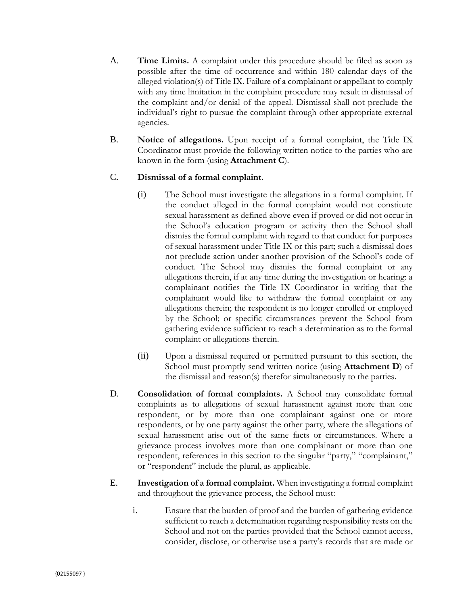- A. **Time Limits.** A complaint under this procedure should be filed as soon as possible after the time of occurrence and within 180 calendar days of the alleged violation(s) of Title IX. Failure of a complainant or appellant to comply with any time limitation in the complaint procedure may result in dismissal of the complaint and/or denial of the appeal. Dismissal shall not preclude the individual's right to pursue the complaint through other appropriate external agencies.
- B. **Notice of allegations.** Upon receipt of a formal complaint, the Title IX Coordinator must provide the following written notice to the parties who are known in the form (using **Attachment C**).

## C. **Dismissal of a formal complaint.**

- (i) The School must investigate the allegations in a formal complaint. If the conduct alleged in the formal complaint would not constitute sexual harassment as defined above even if proved or did not occur in the School's education program or activity then the School shall dismiss the formal complaint with regard to that conduct for purposes of sexual harassment under Title IX or this part; such a dismissal does not preclude action under another provision of the School's code of conduct. The School may dismiss the formal complaint or any allegations therein, if at any time during the investigation or hearing: a complainant notifies the Title IX Coordinator in writing that the complainant would like to withdraw the formal complaint or any allegations therein; the respondent is no longer enrolled or employed by the School; or specific circumstances prevent the School from gathering evidence sufficient to reach a determination as to the formal complaint or allegations therein.
- (ii) Upon a dismissal required or permitted pursuant to this section, the School must promptly send written notice (using **Attachment D**) of the dismissal and reason(s) therefor simultaneously to the parties.
- D. **Consolidation of formal complaints.** A School may consolidate formal complaints as to allegations of sexual harassment against more than one respondent, or by more than one complainant against one or more respondents, or by one party against the other party, where the allegations of sexual harassment arise out of the same facts or circumstances. Where a grievance process involves more than one complainant or more than one respondent, references in this section to the singular "party," "complainant," or "respondent" include the plural, as applicable.
- E. **Investigation of a formal complaint.** When investigating a formal complaint and throughout the grievance process, the School must:
	- i. Ensure that the burden of proof and the burden of gathering evidence sufficient to reach a determination regarding responsibility rests on the School and not on the parties provided that the School cannot access, consider, disclose, or otherwise use a party's records that are made or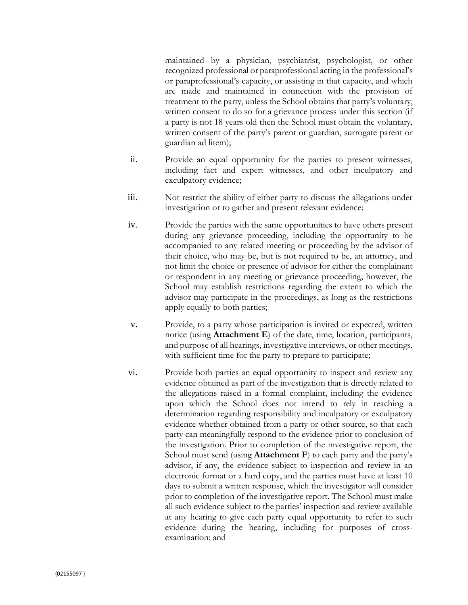maintained by a physician, psychiatrist, psychologist, or other recognized professional or paraprofessional acting in the professional's or paraprofessional's capacity, or assisting in that capacity, and which are made and maintained in connection with the provision of treatment to the party, unless the School obtains that party's voluntary, written consent to do so for a grievance process under this section (if a party is not 18 years old then the School must obtain the voluntary, written consent of the party's parent or guardian, surrogate parent or guardian ad litem);

- ii. Provide an equal opportunity for the parties to present witnesses, including fact and expert witnesses, and other inculpatory and exculpatory evidence;
- iii. Not restrict the ability of either party to discuss the allegations under investigation or to gather and present relevant evidence;
- iv. Provide the parties with the same opportunities to have others present during any grievance proceeding, including the opportunity to be accompanied to any related meeting or proceeding by the advisor of their choice, who may be, but is not required to be, an attorney, and not limit the choice or presence of advisor for either the complainant or respondent in any meeting or grievance proceeding; however, the School may establish restrictions regarding the extent to which the advisor may participate in the proceedings, as long as the restrictions apply equally to both parties;
- v. Provide, to a party whose participation is invited or expected, written notice (using **Attachment E**) of the date, time, location, participants, and purpose of all hearings, investigative interviews, or other meetings, with sufficient time for the party to prepare to participate;
- vi. Provide both parties an equal opportunity to inspect and review any evidence obtained as part of the investigation that is directly related to the allegations raised in a formal complaint, including the evidence upon which the School does not intend to rely in reaching a determination regarding responsibility and inculpatory or exculpatory evidence whether obtained from a party or other source, so that each party can meaningfully respond to the evidence prior to conclusion of the investigation. Prior to completion of the investigative report, the School must send (using **Attachment F**) to each party and the party's advisor, if any, the evidence subject to inspection and review in an electronic format or a hard copy, and the parties must have at least 10 days to submit a written response, which the investigator will consider prior to completion of the investigative report. The School must make all such evidence subject to the parties' inspection and review available at any hearing to give each party equal opportunity to refer to such evidence during the hearing, including for purposes of crossexamination; and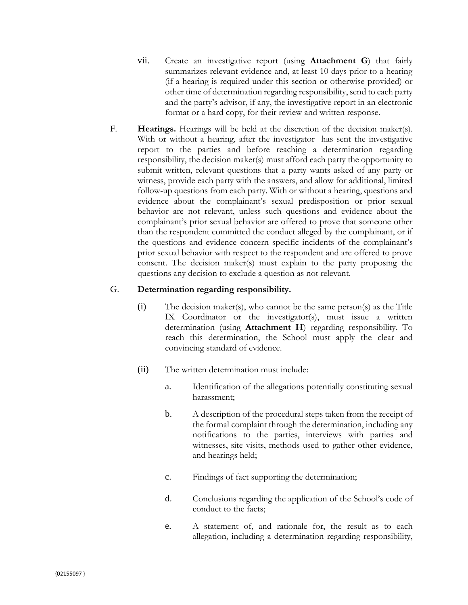- vii. Create an investigative report (using **Attachment G**) that fairly summarizes relevant evidence and, at least 10 days prior to a hearing (if a hearing is required under this section or otherwise provided) or other time of determination regarding responsibility, send to each party and the party's advisor, if any, the investigative report in an electronic format or a hard copy, for their review and written response.
- F. **Hearings.** Hearings will be held at the discretion of the decision maker(s). With or without a hearing, after the investigator has sent the investigative report to the parties and before reaching a determination regarding responsibility, the decision maker(s) must afford each party the opportunity to submit written, relevant questions that a party wants asked of any party or witness, provide each party with the answers, and allow for additional, limited follow-up questions from each party. With or without a hearing, questions and evidence about the complainant's sexual predisposition or prior sexual behavior are not relevant, unless such questions and evidence about the complainant's prior sexual behavior are offered to prove that someone other than the respondent committed the conduct alleged by the complainant, or if the questions and evidence concern specific incidents of the complainant's prior sexual behavior with respect to the respondent and are offered to prove consent. The decision maker(s) must explain to the party proposing the questions any decision to exclude a question as not relevant.

## G. **Determination regarding responsibility.**

- (i) The decision maker(s), who cannot be the same person(s) as the Title IX Coordinator or the investigator(s), must issue a written determination (using **Attachment H**) regarding responsibility. To reach this determination, the School must apply the clear and convincing standard of evidence.
- (ii) The written determination must include:
	- a. Identification of the allegations potentially constituting sexual harassment;
	- b. A description of the procedural steps taken from the receipt of the formal complaint through the determination, including any notifications to the parties, interviews with parties and witnesses, site visits, methods used to gather other evidence, and hearings held;
	- c. Findings of fact supporting the determination;
	- d. Conclusions regarding the application of the School's code of conduct to the facts;
	- e. A statement of, and rationale for, the result as to each allegation, including a determination regarding responsibility,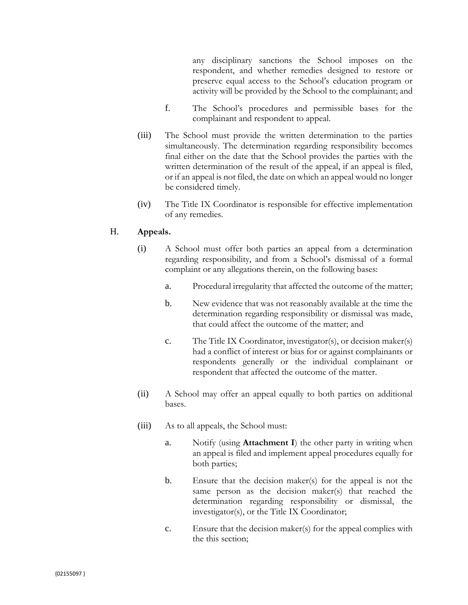any disciplinary sanctions the School imposes on the respondent, and whether remedies designed to restore or preserve equal access to the School's education program or activity will be provided by the School to the complainant; and

- f. The School's procedures and permissible bases for the complainant and respondent to appeal.
- (iii) The School must provide the written determination to the parties simultaneously. The determination regarding responsibility becomes final either on the date that the School provides the parties with the written determination of the result of the appeal, if an appeal is filed, or if an appeal is not filed, the date on which an appeal would no longer be considered timely.
- (iv) The Title IX Coordinator is responsible for effective implementation of any remedies.

### H. **Appeals.**

- (i) A School must offer both parties an appeal from a determination regarding responsibility, and from a School's dismissal of a formal complaint or any allegations therein, on the following bases:
	- a. Procedural irregularity that affected the outcome of the matter;
	- b. New evidence that was not reasonably available at the time the determination regarding responsibility or dismissal was made, that could affect the outcome of the matter; and
	- c. The Title IX Coordinator, investigator(s), or decision maker(s) had a conflict of interest or bias for or against complainants or respondents generally or the individual complainant or respondent that affected the outcome of the matter.
- (ii) A School may offer an appeal equally to both parties on additional bases.
- (iii) As to all appeals, the School must:
	- a. Notify (using **Attachment I**) the other party in writing when an appeal is filed and implement appeal procedures equally for both parties;
	- b. Ensure that the decision maker(s) for the appeal is not the same person as the decision maker(s) that reached the determination regarding responsibility or dismissal, the investigator(s), or the Title IX Coordinator;
	- c. Ensure that the decision maker(s) for the appeal complies with the this section;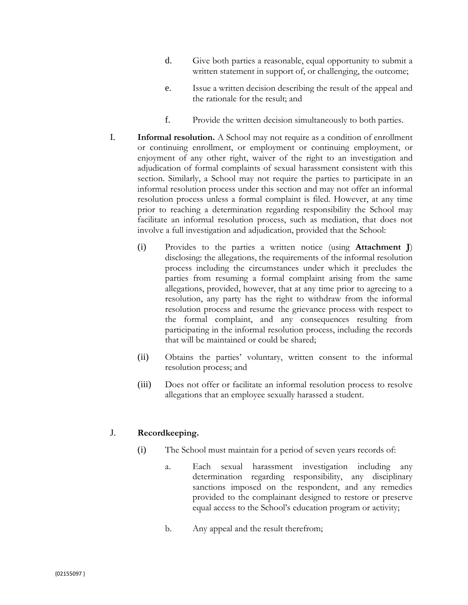- d. Give both parties a reasonable, equal opportunity to submit a written statement in support of, or challenging, the outcome;
- e. Issue a written decision describing the result of the appeal and the rationale for the result; and
- f. Provide the written decision simultaneously to both parties.
- I. **Informal resolution.** A School may not require as a condition of enrollment or continuing enrollment, or employment or continuing employment, or enjoyment of any other right, waiver of the right to an investigation and adjudication of formal complaints of sexual harassment consistent with this section. Similarly, a School may not require the parties to participate in an informal resolution process under this section and may not offer an informal resolution process unless a formal complaint is filed. However, at any time prior to reaching a determination regarding responsibility the School may facilitate an informal resolution process, such as mediation, that does not involve a full investigation and adjudication, provided that the School:
	- (i) Provides to the parties a written notice (using **Attachment J**) disclosing: the allegations, the requirements of the informal resolution process including the circumstances under which it precludes the parties from resuming a formal complaint arising from the same allegations, provided, however, that at any time prior to agreeing to a resolution, any party has the right to withdraw from the informal resolution process and resume the grievance process with respect to the formal complaint, and any consequences resulting from participating in the informal resolution process, including the records that will be maintained or could be shared;
	- (ii) Obtains the parties' voluntary, written consent to the informal resolution process; and
	- (iii) Does not offer or facilitate an informal resolution process to resolve allegations that an employee sexually harassed a student.

## J. **Recordkeeping.**

- (i) The School must maintain for a period of seven years records of:
	- a. Each sexual harassment investigation including any determination regarding responsibility, any disciplinary sanctions imposed on the respondent, and any remedies provided to the complainant designed to restore or preserve equal access to the School's education program or activity;
	- b. Any appeal and the result therefrom;